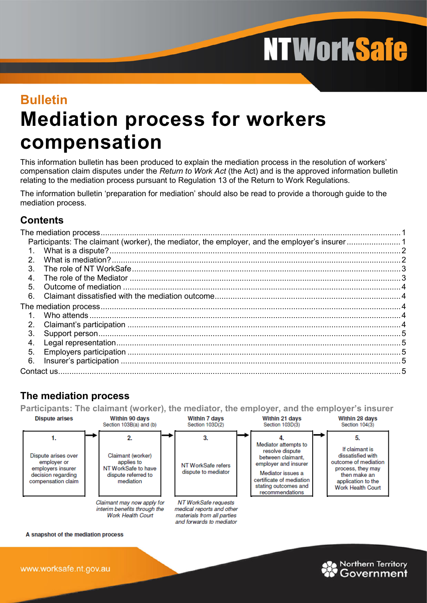**NTWorkSafe** 

# **Bulletin Mediation process for workers compensation**

This information bulletin has been produced to explain the mediation process in the resolution of workers' compensation claim disputes under the *Return to Work Act* (the Act) and is the approved information bulletin relating to the mediation process pursuant to Regulation 13 of the Return to Work Regulations.

The information bulletin 'preparation for mediation' should also be read to provide a thorough guide to the mediation process.

# **Contents**

| $\mathcal{P}$    |  |  |  |  |
|------------------|--|--|--|--|
| $\mathcal{S}$    |  |  |  |  |
| $\overline{4}$ . |  |  |  |  |
| 5                |  |  |  |  |
| 6.               |  |  |  |  |
|                  |  |  |  |  |
|                  |  |  |  |  |
| 2 <sub>1</sub>   |  |  |  |  |
| 3.               |  |  |  |  |
| $\mathbf 4$      |  |  |  |  |
| 5 <sub>1</sub>   |  |  |  |  |
| 6.               |  |  |  |  |
|                  |  |  |  |  |

# <span id="page-0-0"></span>**The mediation process**

<span id="page-0-1"></span>**Participants: The claimant (worker), the mediator, the employer, and the employer's insurer**



A snapshot of the mediation process

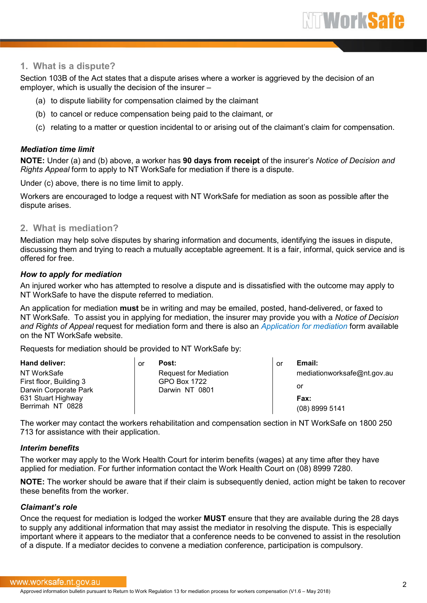### <span id="page-1-0"></span>**1. What is a dispute?**

Section 103B of the Act states that a dispute arises where a worker is aggrieved by the decision of an employer, which is usually the decision of the insurer –

- (a) to dispute liability for compensation claimed by the claimant
- (b) to cancel or reduce compensation being paid to the claimant, or
- (c) relating to a matter or question incidental to or arising out of the claimant's claim for compensation.

#### *Mediation time limit*

**NOTE:** Under (a) and (b) above, a worker has **90 days from receipt** of the insurer's *Notice of Decision and Rights Appeal* form to apply to NT WorkSafe for mediation if there is a dispute.

Under (c) above, there is no time limit to apply.

Workers are encouraged to lodge a request with NT WorkSafe for mediation as soon as possible after the dispute arises.

#### <span id="page-1-1"></span>**2. What is mediation?**

Mediation may help solve disputes by sharing information and documents, identifying the issues in dispute, discussing them and trying to reach a mutually acceptable agreement. It is a fair, informal, quick service and is offered for free.

#### *How to apply for mediation*

An injured worker who has attempted to resolve a dispute and is dissatisfied with the outcome may apply to NT WorkSafe to have the dispute referred to mediation.

An application for mediation **must** be in writing and may be emailed, posted, hand-delivered, or faxed to NT WorkSafe. To assist you in applying for mediation, the insurer may provide you with a *Notice of Decision and Rights of Appeal* request for mediation form and there is also an *[Application for mediation](http://www.worksafe.nt.gov.au/_layouts/download.aspx?SourceUrl=/Forms/Rehabilitation%20%20Compensation/application-for-mediation.docx)* form available on the NT WorkSafe website.

Requests for mediation should be provided to NT WorkSafe by:

| Hand deliver:                                    | or | Post:                          | or | Email:                      |
|--------------------------------------------------|----|--------------------------------|----|-----------------------------|
| NT WorkSafe                                      |    | <b>Request for Mediation</b>   |    | mediationworksafe@nt.gov.au |
| First floor, Building 3<br>Darwin Corporate Park |    | GPO Box 1722<br>Darwin NT 0801 |    | or                          |
| 631 Stuart Highway                               |    |                                |    | <b>Fax:</b>                 |
| Berrimah NT 0828                                 |    |                                |    | (08) 8999 5141              |

The worker may contact the workers rehabilitation and compensation section in NT WorkSafe on 1800 250 713 for assistance with their application.

#### *Interim benefits*

The worker may apply to the Work Health Court for interim benefits (wages) at any time after they have applied for mediation. For further information contact the Work Health Court on (08) 8999 7280.

**NOTE:** The worker should be aware that if their claim is subsequently denied, action might be taken to recover these benefits from the worker.

#### *Claimant's role*

Once the request for mediation is lodged the worker **MUST** ensure that they are available during the 28 days to supply any additional information that may assist the mediator in resolving the dispute. This is especially important where it appears to the mediator that a conference needs to be convened to assist in the resolution of a dispute. If a mediator decides to convene a mediation conference, participation is compulsory.

#### www.worksafe.nt.gov.au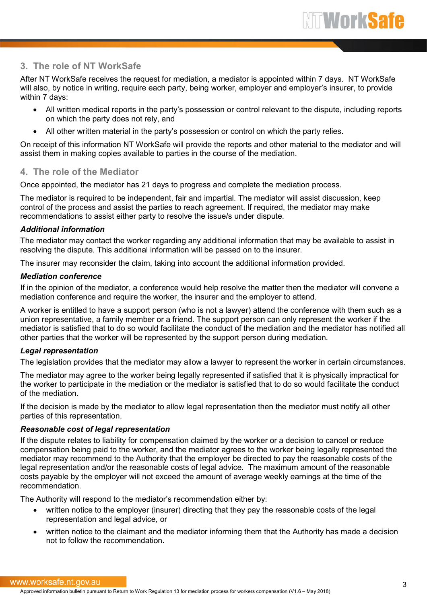## <span id="page-2-0"></span>**3. The role of NT WorkSafe**

After NT WorkSafe receives the request for mediation, a mediator is appointed within 7 days. NT WorkSafe will also, by notice in writing, require each party, being worker, employer and employer's insurer, to provide within 7 days:

- All written medical reports in the party's possession or control relevant to the dispute, including reports on which the party does not rely, and
- All other written material in the party's possession or control on which the party relies.

On receipt of this information NT WorkSafe will provide the reports and other material to the mediator and will assist them in making copies available to parties in the course of the mediation.

## <span id="page-2-1"></span>**4. The role of the Mediator**

Once appointed, the mediator has 21 days to progress and complete the mediation process.

The mediator is required to be independent, fair and impartial. The mediator will assist discussion, keep control of the process and assist the parties to reach agreement. If required, the mediator may make recommendations to assist either party to resolve the issue/s under dispute.

#### *Additional information*

The mediator may contact the worker regarding any additional information that may be available to assist in resolving the dispute. This additional information will be passed on to the insurer.

The insurer may reconsider the claim, taking into account the additional information provided.

#### *Mediation conference*

If in the opinion of the mediator, a conference would help resolve the matter then the mediator will convene a mediation conference and require the worker, the insurer and the employer to attend.

A worker is entitled to have a support person (who is not a lawyer) attend the conference with them such as a union representative, a family member or a friend. The support person can only represent the worker if the mediator is satisfied that to do so would facilitate the conduct of the mediation and the mediator has notified all other parties that the worker will be represented by the support person during mediation.

#### *Legal representation*

The legislation provides that the mediator may allow a lawyer to represent the worker in certain circumstances.

The mediator may agree to the worker being legally represented if satisfied that it is physically impractical for the worker to participate in the mediation or the mediator is satisfied that to do so would facilitate the conduct of the mediation.

If the decision is made by the mediator to allow legal representation then the mediator must notify all other parties of this representation.

#### *Reasonable cost of legal representation*

If the dispute relates to liability for compensation claimed by the worker or a decision to cancel or reduce compensation being paid to the worker, and the mediator agrees to the worker being legally represented the mediator may recommend to the Authority that the employer be directed to pay the reasonable costs of the legal representation and/or the reasonable costs of legal advice. The maximum amount of the reasonable costs payable by the employer will not exceed the amount of average weekly earnings at the time of the recommendation.

The Authority will respond to the mediator's recommendation either by:

- written notice to the employer (insurer) directing that they pay the reasonable costs of the legal representation and legal advice, or
- written notice to the claimant and the mediator informing them that the Authority has made a decision not to follow the recommendation.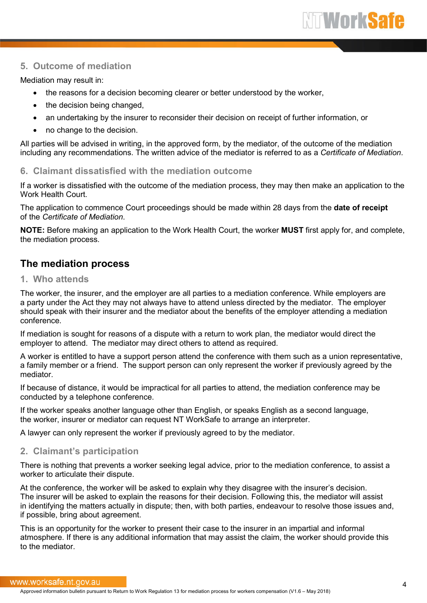## <span id="page-3-0"></span>**5. Outcome of mediation**

Mediation may result in:

- the reasons for a decision becoming clearer or better understood by the worker,
- the decision being changed.
- an undertaking by the insurer to reconsider their decision on receipt of further information, or
- no change to the decision.

All parties will be advised in writing, in the approved form, by the mediator, of the outcome of the mediation including any recommendations. The written advice of the mediator is referred to as a *Certificate of Mediation*.

#### <span id="page-3-1"></span>**6. Claimant dissatisfied with the mediation outcome**

If a worker is dissatisfied with the outcome of the mediation process, they may then make an application to the Work Health Court.

The application to commence Court proceedings should be made within 28 days from the **date of receipt** of the *Certificate of Mediation*.

**NOTE:** Before making an application to the Work Health Court, the worker **MUST** first apply for, and complete, the mediation process.

## <span id="page-3-2"></span>**The mediation process**

## <span id="page-3-3"></span>**1. Who attends**

The worker, the insurer, and the employer are all parties to a mediation conference. While employers are a party under the Act they may not always have to attend unless directed by the mediator. The employer should speak with their insurer and the mediator about the benefits of the employer attending a mediation conference.

If mediation is sought for reasons of a dispute with a return to work plan, the mediator would direct the employer to attend. The mediator may direct others to attend as required.

A worker is entitled to have a support person attend the conference with them such as a union representative, a family member or a friend. The support person can only represent the worker if previously agreed by the mediator.

If because of distance, it would be impractical for all parties to attend, the mediation conference may be conducted by a telephone conference.

If the worker speaks another language other than English, or speaks English as a second language, the worker, insurer or mediator can request NT WorkSafe to arrange an interpreter.

A lawyer can only represent the worker if previously agreed to by the mediator.

#### <span id="page-3-4"></span>**2. Claimant's participation**

There is nothing that prevents a worker seeking legal advice, prior to the mediation conference, to assist a worker to articulate their dispute.

At the conference, the worker will be asked to explain why they disagree with the insurer's decision. The insurer will be asked to explain the reasons for their decision. Following this, the mediator will assist in identifying the matters actually in dispute; then, with both parties, endeavour to resolve those issues and, if possible, bring about agreement.

This is an opportunity for the worker to present their case to the insurer in an impartial and informal atmosphere. If there is any additional information that may assist the claim, the worker should provide this to the mediator.

#### www.worksafe.nt.gov.au